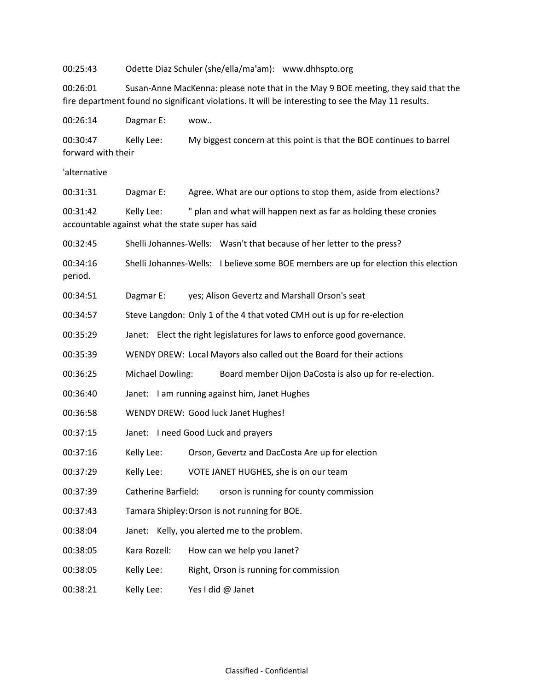00:25:43 Odette Diaz Schuler (she/ella/ma'am): www.dhhspto.org

00:26:01 Susan-Anne MacKenna: please note that in the May 9 BOE meeting, they said that the fire department found no significant violations. It will be interesting to see the May 11 results.

00:26:14 Dagmar E: wow..

accountable against what the state super has said

00:30:47 Kelly Lee: My biggest concern at this point is that the BOE continues to barrel forward with their

'alternative

00:31:31 Dagmar E: Agree. What are our options to stop them, aside from elections? 00:31:42 Kelly Lee: " plan and what will happen next as far as holding these cronies

00:32:45 Shelli Johannes-Wells: Wasn't that because of her letter to the press?

00:34:16 Shelli Johannes-Wells: I believe some BOE members are up for election this election period.

00:34:51 Dagmar E: yes; Alison Gevertz and Marshall Orson's seat

00:34:57 Steve Langdon: Only 1 of the 4 that voted CMH out is up for re-election

00:35:29 Janet: Elect the right legislatures for laws to enforce good governance.

00:35:39 WENDY DREW: Local Mayors also called out the Board for their actions

00:36:25 Michael Dowling: Board member Dijon DaCosta is also up for re-election.

- 00:36:40 Janet: I am running against him, Janet Hughes
- 00:36:58 WENDY DREW: Good luck Janet Hughes!
- 00:37:15 Janet: I need Good Luck and prayers

00:37:16 Kelly Lee: Orson, Gevertz and DacCosta Are up for election

00:37:29 Kelly Lee: VOTE JANET HUGHES, she is on our team

00:37:39 Catherine Barfield: orson is running for county commission

00:37:43 Tamara Shipley:Orson is not running for BOE.

00:38:04 Janet: Kelly, you alerted me to the problem.

- 00:38:05 Kara Rozell: How can we help you Janet?
- 00:38:05 Kelly Lee: Right, Orson is running for commission
- 00:38:21 Kelly Lee: Yes I did @ Janet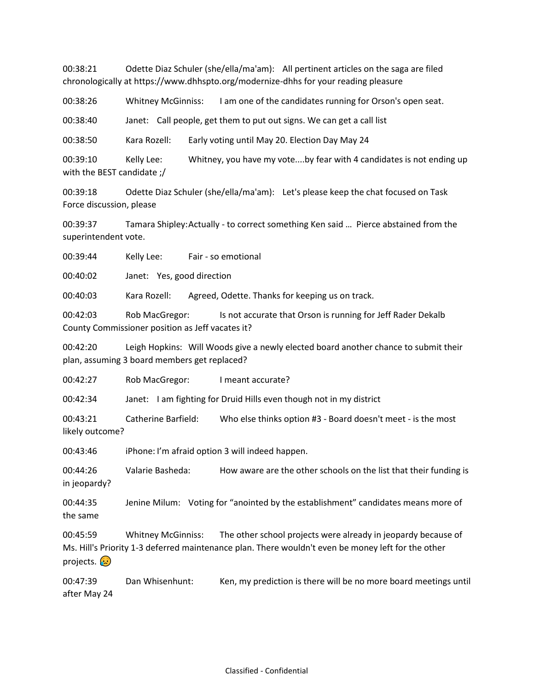00:38:21 Odette Diaz Schuler (she/ella/ma'am): All pertinent articles on the saga are filed chronologically at https://www.dhhspto.org/modernize-dhhs for your reading pleasure

00:38:26 Whitney McGinniss: I am one of the candidates running for Orson's open seat.

00:38:40 Janet: Call people, get them to put out signs. We can get a call list

00:38:50 Kara Rozell: Early voting until May 20. Election Day May 24

00:39:10 Kelly Lee: Whitney, you have my vote....by fear with 4 candidates is not ending up with the BEST candidate ;/

00:39:18 Odette Diaz Schuler (she/ella/ma'am): Let's please keep the chat focused on Task Force discussion, please

00:39:37 Tamara Shipley:Actually - to correct something Ken said … Pierce abstained from the superintendent vote.

00:39:44 Kelly Lee: Fair - so emotional

00:40:02 Janet: Yes, good direction

00:40:03 Kara Rozell: Agreed, Odette. Thanks for keeping us on track.

00:42:03 Rob MacGregor: Is not accurate that Orson is running for Jeff Rader Dekalb County Commissioner position as Jeff vacates it?

00:42:20 Leigh Hopkins: Will Woods give a newly elected board another chance to submit their plan, assuming 3 board members get replaced?

00:42:27 Rob MacGregor: I meant accurate?

00:42:34 Janet: I am fighting for Druid Hills even though not in my district

00:43:21 Catherine Barfield: Who else thinks option #3 - Board doesn't meet - is the most likely outcome?

00:43:46 iPhone: I'm afraid option 3 will indeed happen.

00:44:26 Valarie Basheda: How aware are the other schools on the list that their funding is in jeopardy?

00:44:35 Jenine Milum: Voting for "anointed by the establishment" candidates means more of the same

00:45:59 Whitney McGinniss: The other school projects were already in jeopardy because of Ms. Hill's Priority 1-3 deferred maintenance plan. There wouldn't even be money left for the other projects.  $\left(\cdot\right)$ 

00:47:39 Dan Whisenhunt: Ken, my prediction is there will be no more board meetings until after May 24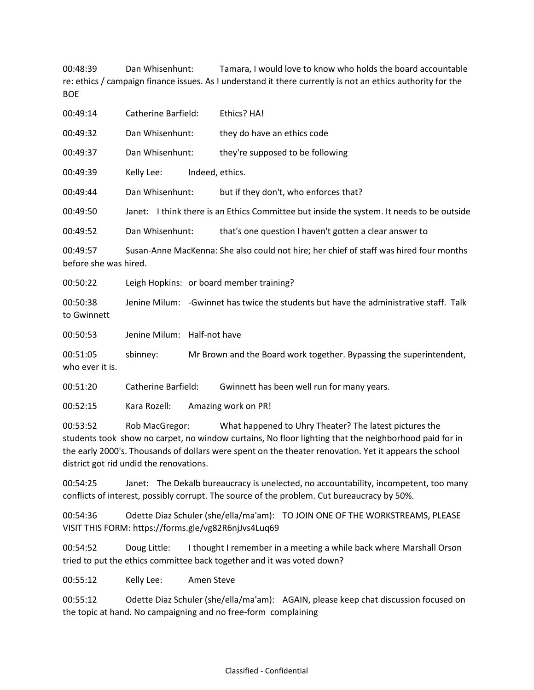00:48:39 Dan Whisenhunt: Tamara, I would love to know who holds the board accountable re: ethics / campaign finance issues. As I understand it there currently is not an ethics authority for the BOE

| 00:49:14 | Catherine Barfield: | Ethics? HA!                                                                               |
|----------|---------------------|-------------------------------------------------------------------------------------------|
| 00:49:32 | Dan Whisenhunt:     | they do have an ethics code                                                               |
| 00:49:37 | Dan Whisenhunt:     | they're supposed to be following                                                          |
| 00:49:39 | Kelly Lee:          | Indeed, ethics.                                                                           |
| 00:49:44 | Dan Whisenhunt:     | but if they don't, who enforces that?                                                     |
| 00:49:50 |                     | Janet: I think there is an Ethics Committee but inside the system. It needs to be outside |
| 00:49:52 | Dan Whisenhunt:     | that's one question I haven't gotten a clear answer to                                    |
| 00:49:57 |                     | Susan-Anne MacKenna: She also could not hire; her chief of staff was hired four months    |

before she was hired.

00:50:22 Leigh Hopkins: or board member training?

00:50:38 Jenine Milum: -Gwinnet has twice the students but have the administrative staff. Talk to Gwinnett

00:50:53 Jenine Milum: Half-not have

00:51:05 sbinney: Mr Brown and the Board work together. Bypassing the superintendent, who ever it is.

00:51:20 Catherine Barfield: Gwinnett has been well run for many years.

00:52:15 Kara Rozell: Amazing work on PR!

00:53:52 Rob MacGregor: What happened to Uhry Theater? The latest pictures the students took show no carpet, no window curtains, No floor lighting that the neighborhood paid for in the early 2000's. Thousands of dollars were spent on the theater renovation. Yet it appears the school district got rid undid the renovations.

00:54:25 Janet: The Dekalb bureaucracy is unelected, no accountability, incompetent, too many conflicts of interest, possibly corrupt. The source of the problem. Cut bureaucracy by 50%.

00:54:36 Odette Diaz Schuler (she/ella/ma'am): TO JOIN ONE OF THE WORKSTREAMS, PLEASE VISIT THIS FORM: https://forms.gle/vg82R6njJvs4Luq69

00:54:52 Doug Little: I thought I remember in a meeting a while back where Marshall Orson tried to put the ethics committee back together and it was voted down?

00:55:12 Kelly Lee: Amen Steve

00:55:12 Odette Diaz Schuler (she/ella/ma'am): AGAIN, please keep chat discussion focused on the topic at hand. No campaigning and no free-form complaining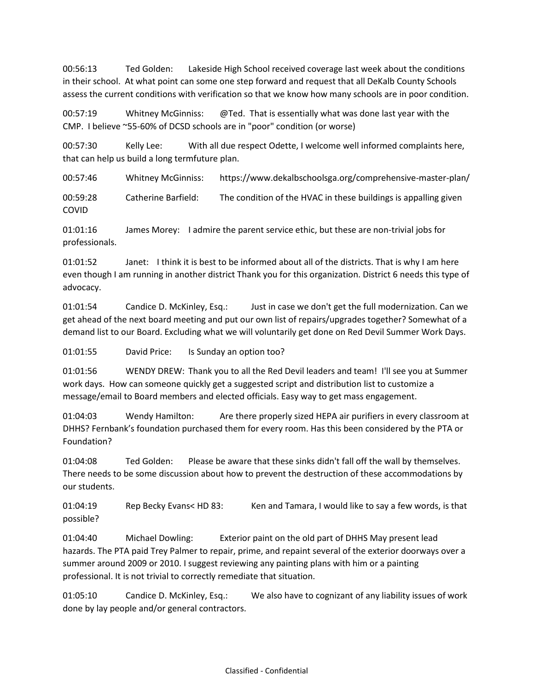00:56:13 Ted Golden: Lakeside High School received coverage last week about the conditions in their school. At what point can some one step forward and request that all DeKalb County Schools assess the current conditions with verification so that we know how many schools are in poor condition.

00:57:19 Whitney McGinniss: @Ted. That is essentially what was done last year with the CMP. I believe ~55-60% of DCSD schools are in "poor" condition (or worse)

00:57:30 Kelly Lee: With all due respect Odette, I welcome well informed complaints here, that can help us build a long termfuture plan.

00:57:46 Whitney McGinniss: https://www.dekalbschoolsga.org/comprehensive-master-plan/

00:59:28 Catherine Barfield: The condition of the HVAC in these buildings is appalling given COVID

01:01:16 James Morey: I admire the parent service ethic, but these are non-trivial jobs for professionals.

01:01:52 Janet: I think it is best to be informed about all of the districts. That is why I am here even though I am running in another district Thank you for this organization. District 6 needs this type of advocacy.

01:01:54 Candice D. McKinley, Esq.: Just in case we don't get the full modernization. Can we get ahead of the next board meeting and put our own list of repairs/upgrades together? Somewhat of a demand list to our Board. Excluding what we will voluntarily get done on Red Devil Summer Work Days.

01:01:55 David Price: Is Sunday an option too?

01:01:56 WENDY DREW: Thank you to all the Red Devil leaders and team! I'll see you at Summer work days. How can someone quickly get a suggested script and distribution list to customize a message/email to Board members and elected officials. Easy way to get mass engagement.

01:04:03 Wendy Hamilton: Are there properly sized HEPA air purifiers in every classroom at DHHS? Fernbank's foundation purchased them for every room. Has this been considered by the PTA or Foundation?

01:04:08 Ted Golden: Please be aware that these sinks didn't fall off the wall by themselves. There needs to be some discussion about how to prevent the destruction of these accommodations by our students.

01:04:19 Rep Becky Evans< HD 83: Ken and Tamara, I would like to say a few words, is that possible?

01:04:40 Michael Dowling: Exterior paint on the old part of DHHS May present lead hazards. The PTA paid Trey Palmer to repair, prime, and repaint several of the exterior doorways over a summer around 2009 or 2010. I suggest reviewing any painting plans with him or a painting professional. It is not trivial to correctly remediate that situation.

01:05:10 Candice D. McKinley, Esq.: We also have to cognizant of any liability issues of work done by lay people and/or general contractors.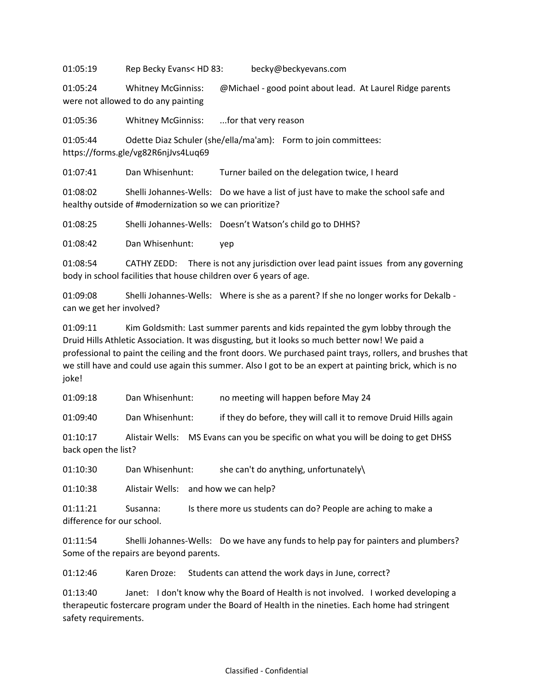01:05:19 Rep Becky Evans< HD 83: becky@beckyevans.com

01:05:24 Whitney McGinniss: @Michael - good point about lead. At Laurel Ridge parents were not allowed to do any painting

01:05:36 Whitney McGinniss: ...for that very reason

01:05:44 Odette Diaz Schuler (she/ella/ma'am): Form to join committees: https://forms.gle/vg82R6njJvs4Luq69

01:07:41 Dan Whisenhunt: Turner bailed on the delegation twice, I heard

01:08:02 Shelli Johannes-Wells: Do we have a list of just have to make the school safe and healthy outside of #modernization so we can prioritize?

01:08:25 Shelli Johannes-Wells: Doesn't Watson's child go to DHHS?

01:08:42 Dan Whisenhunt: yep

01:08:54 CATHY ZEDD: There is not any jurisdiction over lead paint issues from any governing body in school facilities that house children over 6 years of age.

01:09:08 Shelli Johannes-Wells: Where is she as a parent? If she no longer works for Dekalb can we get her involved?

01:09:11 Kim Goldsmith: Last summer parents and kids repainted the gym lobby through the Druid Hills Athletic Association. It was disgusting, but it looks so much better now! We paid a professional to paint the ceiling and the front doors. We purchased paint trays, rollers, and brushes that we still have and could use again this summer. Also I got to be an expert at painting brick, which is no joke!

01:09:18 Dan Whisenhunt: no meeting will happen before May 24

01:09:40 Dan Whisenhunt: if they do before, they will call it to remove Druid Hills again

01:10:17 Alistair Wells: MS Evans can you be specific on what you will be doing to get DHSS back open the list?

01:10:30 Dan Whisenhunt: she can't do anything, unfortunately\

01:10:38 Alistair Wells: and how we can help?

01:11:21 Susanna: Is there more us students can do? People are aching to make a difference for our school.

01:11:54 Shelli Johannes-Wells: Do we have any funds to help pay for painters and plumbers? Some of the repairs are beyond parents.

01:12:46 Karen Droze: Students can attend the work days in June, correct?

01:13:40 Janet: I don't know why the Board of Health is not involved. I worked developing a therapeutic fostercare program under the Board of Health in the nineties. Each home had stringent safety requirements.